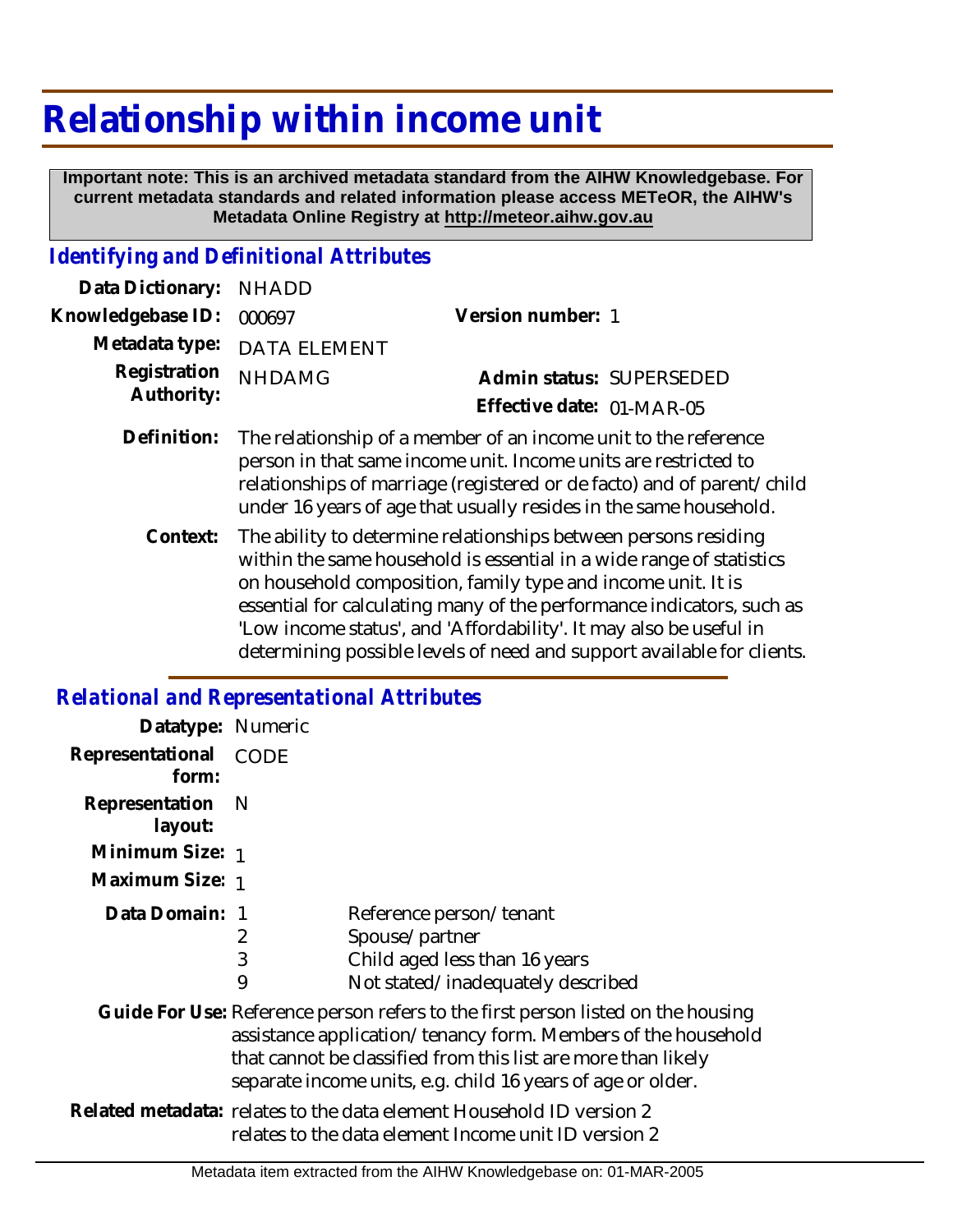## **Relationship within income unit**

 **Important note: This is an archived metadata standard from the AIHW Knowledgebase. For current metadata standards and related information please access METeOR, the AIHW's Metadata Online Registry at http://meteor.aihw.gov.au**

## *Identifying and Definitional Attributes*

| Data Dictionary: NHADD     |                                                                                                                                                |                           |                          |
|----------------------------|------------------------------------------------------------------------------------------------------------------------------------------------|---------------------------|--------------------------|
| Knowledgebase ID: 000697   |                                                                                                                                                | Version number: 1         |                          |
|                            | Metadata type: DATA ELEMENT                                                                                                                    |                           |                          |
| Registration<br>Authority: | <b>NHDAMG</b>                                                                                                                                  |                           | Admin status: SUPERSEDED |
|                            |                                                                                                                                                | Effective date: 01-MAR-05 |                          |
|                            | Definition: The relationship of a member of an income unit to the reference<br>person in that came income unit. Income unite are restricted to |                           |                          |

- person in that same income unit. Income units are restricted to relationships of marriage (registered or de facto) and of parent/child under 16 years of age that usually resides in the same household.
	- The ability to determine relationships between persons residing within the same household is essential in a wide range of statistics on household composition, family type and income unit. It is essential for calculating many of the performance indicators, such as 'Low income status', and 'Affordability'. It may also be useful in determining possible levels of need and support available for clients. **Context:**

## *Relational and Representational Attributes*

| Datatype: Numeric         |                                                                                                                                                                                                                                                                                   |                                                                                                                 |
|---------------------------|-----------------------------------------------------------------------------------------------------------------------------------------------------------------------------------------------------------------------------------------------------------------------------------|-----------------------------------------------------------------------------------------------------------------|
| Representational<br>form: | CODE                                                                                                                                                                                                                                                                              |                                                                                                                 |
| Representation<br>layout: | - N                                                                                                                                                                                                                                                                               |                                                                                                                 |
| Minimum Size: 1           |                                                                                                                                                                                                                                                                                   |                                                                                                                 |
| Maximum Size: 1           |                                                                                                                                                                                                                                                                                   |                                                                                                                 |
| Data Domain:              | 2<br>3<br>9                                                                                                                                                                                                                                                                       | Reference person/tenant<br>Spouse/partner<br>Child aged less than 16 years<br>Not stated/inadequately described |
|                           | Guide For Use: Reference person refers to the first person listed on the housing<br>assistance application/tenancy form. Members of the household<br>that cannot be classified from this list are more than likely<br>separate income units, e.g. child 16 years of age or older. |                                                                                                                 |
|                           | Related metadata: relates to the data element Household ID version 2<br>relates to the data element Income unit ID version 2                                                                                                                                                      |                                                                                                                 |